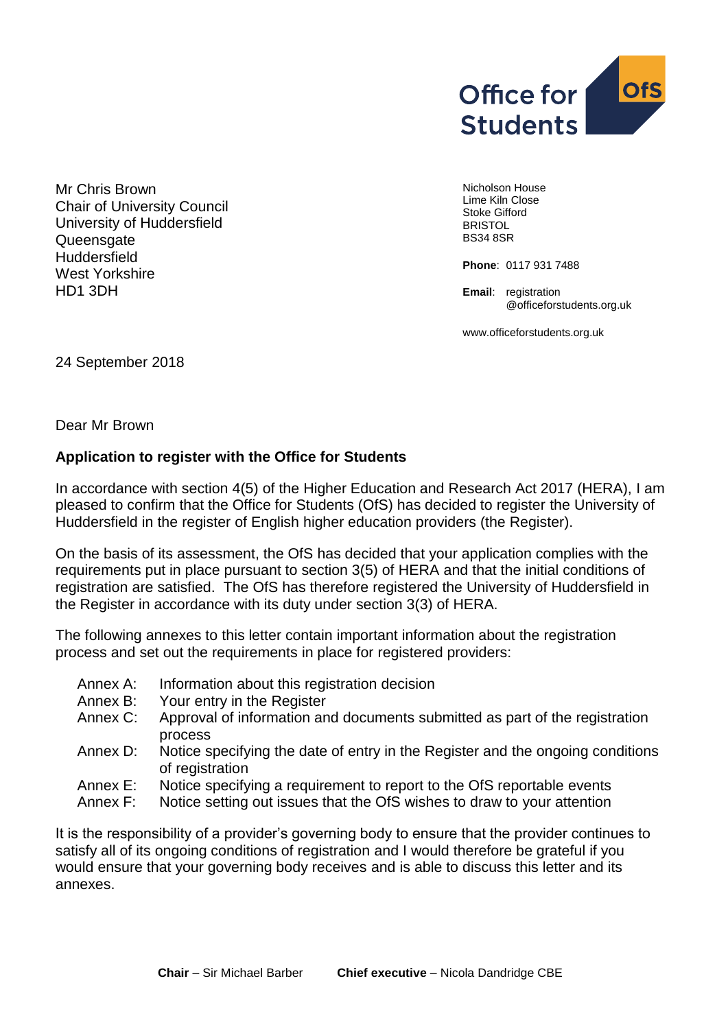

Mr Chris Brown Chair of University Council University of Huddersfield Queensgate **Huddersfield** West Yorkshire HD1 3DH

Nicholson House Lime Kiln Close Stoke Gifford **BRISTOL** BS34 8SR

**Phone**: 0117 931 7488

**Email:** registration @officeforstudents.org.uk

[www.officeforstudents.org.uk](http://www.officeforstudents.org.uk/)

24 September 2018

Dear Mr Brown

#### **Application to register with the Office for Students**

In accordance with section 4(5) of the Higher Education and Research Act 2017 (HERA), I am pleased to confirm that the Office for Students (OfS) has decided to register the University of Huddersfield in the register of English higher education providers (the Register).

On the basis of its assessment, the OfS has decided that your application complies with the requirements put in place pursuant to section 3(5) of HERA and that the initial conditions of registration are satisfied. The OfS has therefore registered the University of Huddersfield in the Register in accordance with its duty under section 3(3) of HERA.

The following annexes to this letter contain important information about the registration process and set out the requirements in place for registered providers:

- Annex A: Information about this registration decision
- Annex B: Your entry in the Register
- Annex C: Approval of information and documents submitted as part of the registration process
- Annex D: Notice specifying the date of entry in the Register and the ongoing conditions of registration
- Annex E: Notice specifying a requirement to report to the OfS reportable events
- Annex F: Notice setting out issues that the OfS wishes to draw to your attention

It is the responsibility of a provider's governing body to ensure that the provider continues to satisfy all of its ongoing conditions of registration and I would therefore be grateful if you would ensure that your governing body receives and is able to discuss this letter and its annexes.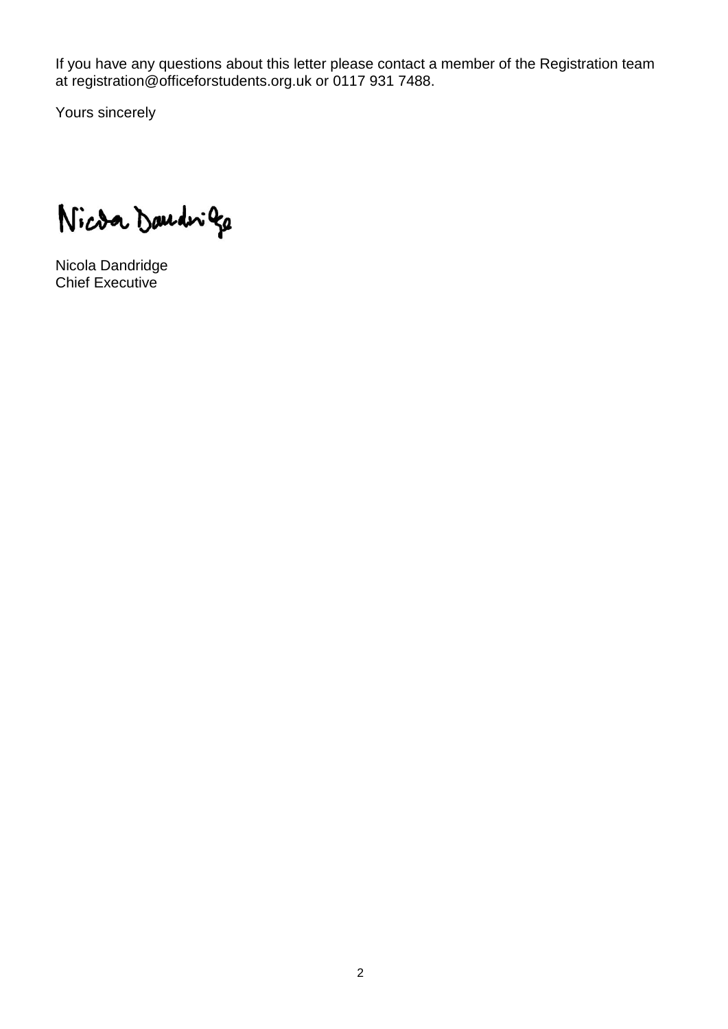If you have any questions about this letter please contact a member of the Registration team at registration@officeforstudents.org.uk or 0117 931 7488.

Yours sincerely

Nicoa Daudriga

Nicola Dandridge Chief Executive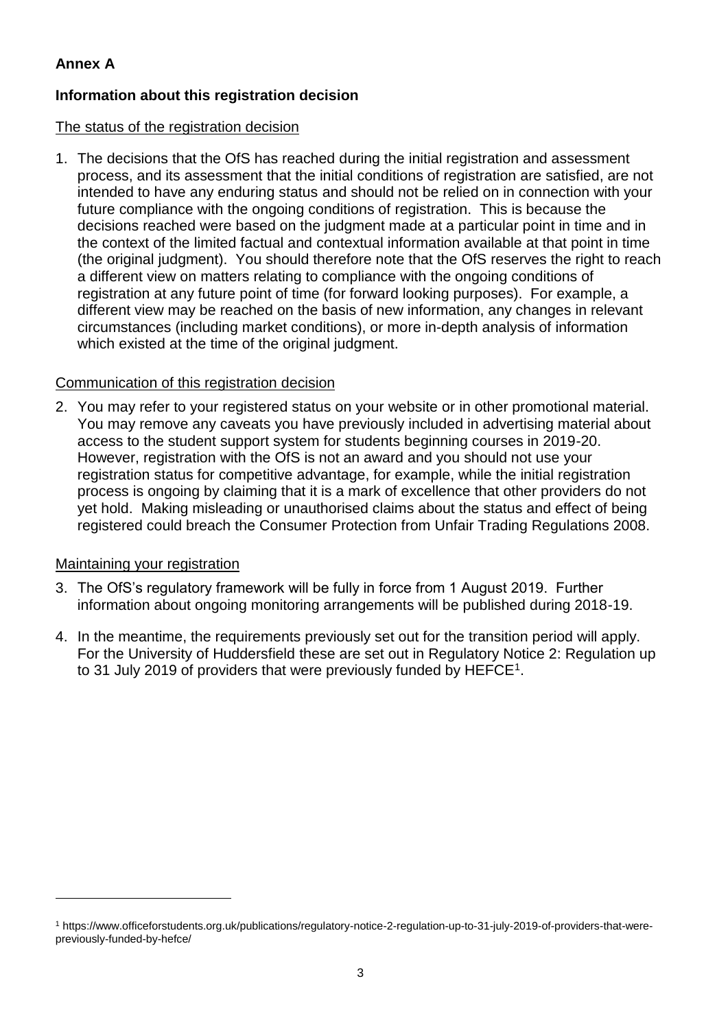# **Annex A**

## **Information about this registration decision**

#### The status of the registration decision

1. The decisions that the OfS has reached during the initial registration and assessment process, and its assessment that the initial conditions of registration are satisfied, are not intended to have any enduring status and should not be relied on in connection with your future compliance with the ongoing conditions of registration. This is because the decisions reached were based on the judgment made at a particular point in time and in the context of the limited factual and contextual information available at that point in time (the original judgment). You should therefore note that the OfS reserves the right to reach a different view on matters relating to compliance with the ongoing conditions of registration at any future point of time (for forward looking purposes). For example, a different view may be reached on the basis of new information, any changes in relevant circumstances (including market conditions), or more in-depth analysis of information which existed at the time of the original judgment.

#### Communication of this registration decision

2. You may refer to your registered status on your website or in other promotional material. You may remove any caveats you have previously included in advertising material about access to the student support system for students beginning courses in 2019-20. However, registration with the OfS is not an award and you should not use your registration status for competitive advantage, for example, while the initial registration process is ongoing by claiming that it is a mark of excellence that other providers do not yet hold. Making misleading or unauthorised claims about the status and effect of being registered could breach the Consumer Protection from Unfair Trading Regulations 2008.

#### Maintaining your registration

1

- 3. The OfS's regulatory framework will be fully in force from 1 August 2019. Further information about ongoing monitoring arrangements will be published during 2018-19.
- 4. In the meantime, the requirements previously set out for the transition period will apply. For the University of Huddersfield these are set out in Regulatory Notice 2: Regulation up to 31 July 2019 of providers that were previously funded by  $HEFCE<sup>1</sup>$ .

<sup>1</sup> https://www.officeforstudents.org.uk/publications/regulatory-notice-2-regulation-up-to-31-july-2019-of-providers-that-werepreviously-funded-by-hefce/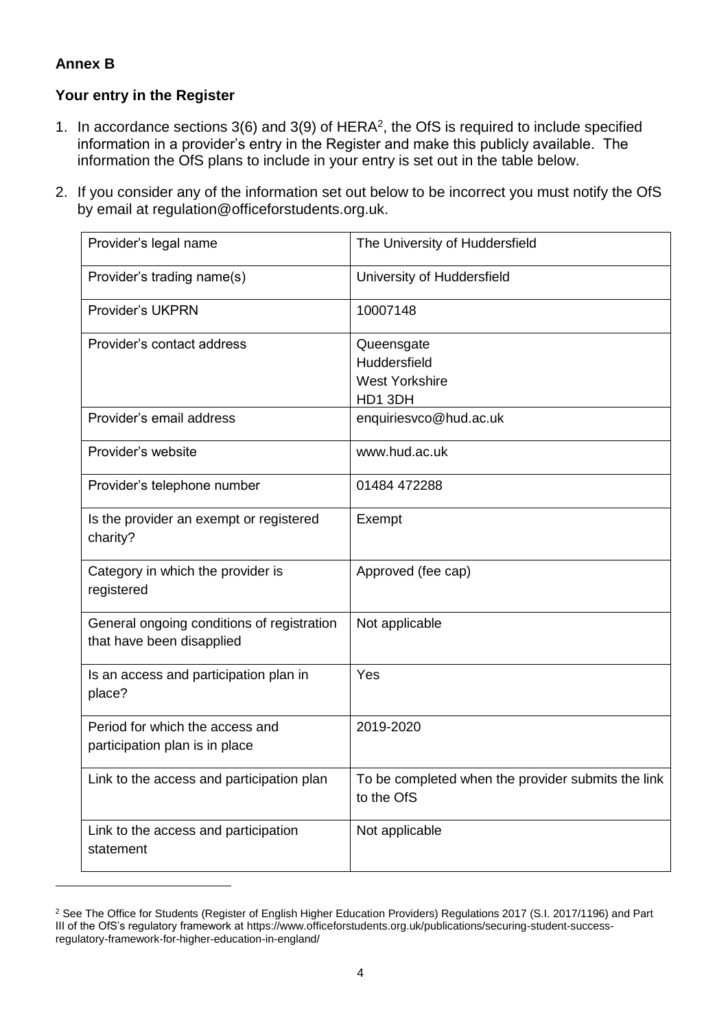## **Annex B**

1

## **Your entry in the Register**

- 1. In accordance sections  $3(6)$  and  $3(9)$  of HERA<sup>2</sup>, the OfS is required to include specified information in a provider's entry in the Register and make this publicly available. The information the OfS plans to include in your entry is set out in the table below.
- 2. If you consider any of the information set out below to be incorrect you must notify the OfS by email at [regulation@officeforstudents.org.uk.](mailto:regulation@officeforstudents.org.uk)

| Provider's legal name                                                   | The University of Huddersfield                                   |
|-------------------------------------------------------------------------|------------------------------------------------------------------|
| Provider's trading name(s)                                              | University of Huddersfield                                       |
| <b>Provider's UKPRN</b>                                                 | 10007148                                                         |
| Provider's contact address                                              | Queensgate<br>Huddersfield<br><b>West Yorkshire</b><br>HD1 3DH   |
| Provider's email address                                                | enquiriesvco@hud.ac.uk                                           |
| Provider's website                                                      | www.hud.ac.uk                                                    |
| Provider's telephone number                                             | 01484 472288                                                     |
| Is the provider an exempt or registered<br>charity?                     | Exempt                                                           |
| Category in which the provider is<br>registered                         | Approved (fee cap)                                               |
| General ongoing conditions of registration<br>that have been disapplied | Not applicable                                                   |
| Is an access and participation plan in<br>place?                        | Yes                                                              |
| Period for which the access and<br>participation plan is in place       | 2019-2020                                                        |
| Link to the access and participation plan                               | To be completed when the provider submits the link<br>to the OfS |
| Link to the access and participation<br>statement                       | Not applicable                                                   |

<sup>&</sup>lt;sup>2</sup> See The Office for Students (Register of English Higher Education Providers) Regulations 2017 (S.I. 2017/1196) and Part III of the OfS's regulatory framework at https://www.officeforstudents.org.uk/publications/securing-student-successregulatory-framework-for-higher-education-in-england/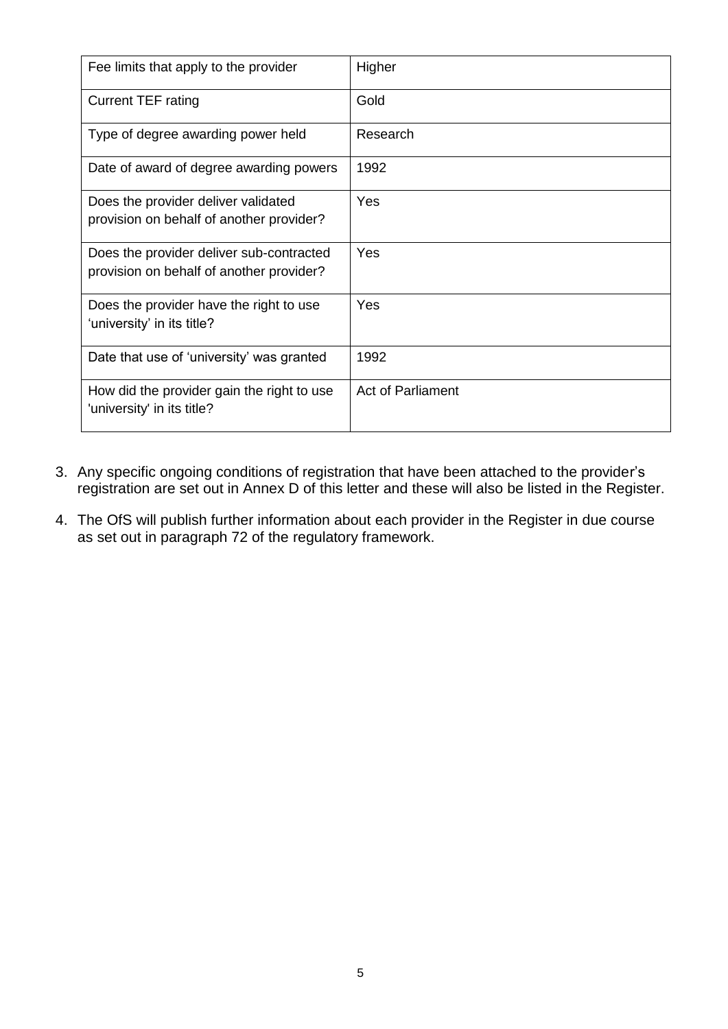| Fee limits that apply to the provider                                                | Higher                   |
|--------------------------------------------------------------------------------------|--------------------------|
| <b>Current TEF rating</b>                                                            | Gold                     |
| Type of degree awarding power held                                                   | Research                 |
| Date of award of degree awarding powers                                              | 1992                     |
| Does the provider deliver validated<br>provision on behalf of another provider?      | Yes                      |
| Does the provider deliver sub-contracted<br>provision on behalf of another provider? | Yes                      |
| Does the provider have the right to use<br>'university' in its title?                | Yes                      |
| Date that use of 'university' was granted                                            | 1992                     |
| How did the provider gain the right to use<br>'university' in its title?             | <b>Act of Parliament</b> |

- 3. Any specific ongoing conditions of registration that have been attached to the provider's registration are set out in Annex D of this letter and these will also be listed in the Register.
- 4. The OfS will publish further information about each provider in the Register in due course as set out in paragraph 72 of the regulatory framework.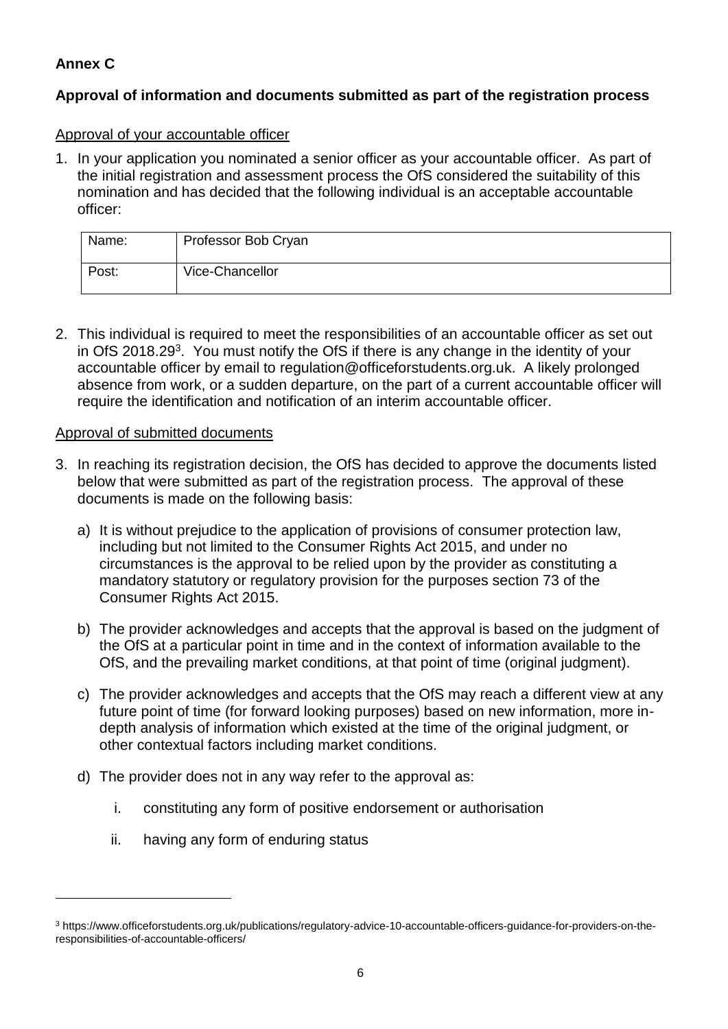# **Annex C**

## **Approval of information and documents submitted as part of the registration process**

#### Approval of your accountable officer

1. In your application you nominated a senior officer as your accountable officer. As part of the initial registration and assessment process the OfS considered the suitability of this nomination and has decided that the following individual is an acceptable accountable officer:

| Name: | Professor Bob Cryan |
|-------|---------------------|
| Post: | Vice-Chancellor     |

2. This individual is required to meet the responsibilities of an accountable officer as set out in OfS 2018.29<sup>3</sup>. You must notify the OfS if there is any change in the identity of your accountable officer by email to [regulation@officeforstudents.org.uk.](mailto:regulation@officeforstudents.org.uk) A likely prolonged absence from work, or a sudden departure, on the part of a current accountable officer will require the identification and notification of an interim accountable officer.

#### Approval of submitted documents

- 3. In reaching its registration decision, the OfS has decided to approve the documents listed below that were submitted as part of the registration process. The approval of these documents is made on the following basis:
	- a) It is without prejudice to the application of provisions of consumer protection law, including but not limited to the Consumer Rights Act 2015, and under no circumstances is the approval to be relied upon by the provider as constituting a mandatory statutory or regulatory provision for the purposes section 73 of the Consumer Rights Act 2015.
	- b) The provider acknowledges and accepts that the approval is based on the judgment of the OfS at a particular point in time and in the context of information available to the OfS, and the prevailing market conditions, at that point of time (original judgment).
	- c) The provider acknowledges and accepts that the OfS may reach a different view at any future point of time (for forward looking purposes) based on new information, more indepth analysis of information which existed at the time of the original judgment, or other contextual factors including market conditions.
	- d) The provider does not in any way refer to the approval as:
		- i. constituting any form of positive endorsement or authorisation
		- ii. having any form of enduring status

1

<sup>3</sup> https://www.officeforstudents.org.uk/publications/regulatory-advice-10-accountable-officers-guidance-for-providers-on-theresponsibilities-of-accountable-officers/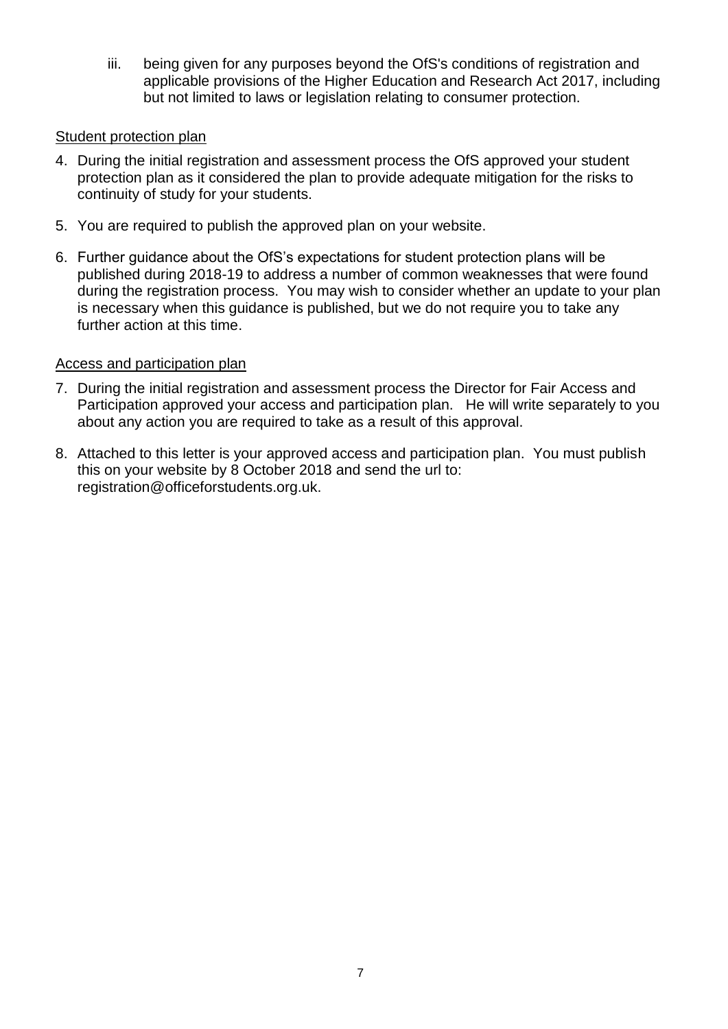iii. being given for any purposes beyond the OfS's conditions of registration and applicable provisions of the Higher Education and Research Act 2017, including but not limited to laws or legislation relating to consumer protection.

#### Student protection plan

- 4. During the initial registration and assessment process the OfS approved your student protection plan as it considered the plan to provide adequate mitigation for the risks to continuity of study for your students.
- 5. You are required to publish the approved plan on your website.
- 6. Further guidance about the OfS's expectations for student protection plans will be published during 2018-19 to address a number of common weaknesses that were found during the registration process. You may wish to consider whether an update to your plan is necessary when this guidance is published, but we do not require you to take any further action at this time.

#### Access and participation plan

- 7. During the initial registration and assessment process the Director for Fair Access and Participation approved your access and participation plan. He will write separately to you about any action you are required to take as a result of this approval.
- 8. Attached to this letter is your approved access and participation plan. You must publish this on your website by 8 October 2018 and send the url to: [registration@officeforstudents.org.uk.](mailto:registration@officeforstudents.org.uk)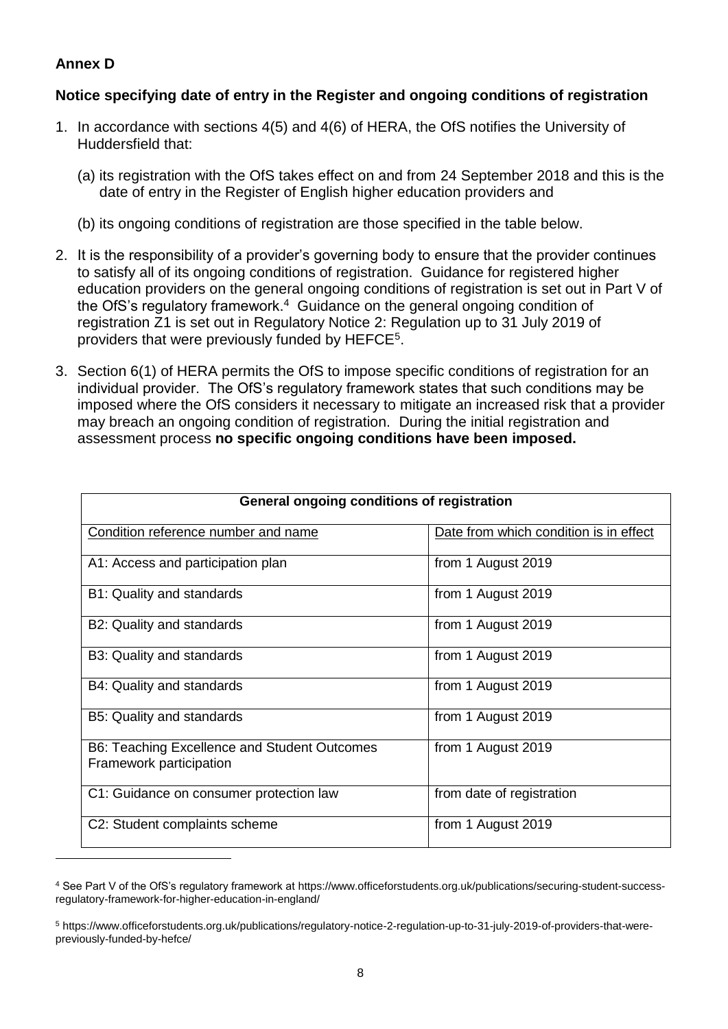## **Annex D**

<u>.</u>

#### **Notice specifying date of entry in the Register and ongoing conditions of registration**

- 1. In accordance with sections 4(5) and 4(6) of HERA, the OfS notifies the University of Huddersfield that:
	- (a) its registration with the OfS takes effect on and from 24 September 2018 and this is the date of entry in the Register of English higher education providers and
	- (b) its ongoing conditions of registration are those specified in the table below.
- 2. It is the responsibility of a provider's governing body to ensure that the provider continues to satisfy all of its ongoing conditions of registration. Guidance for registered higher education providers on the general ongoing conditions of registration is set out in Part V of the OfS's regulatory framework.<sup>4</sup> Guidance on the general ongoing condition of registration Z1 is set out in Regulatory Notice 2: Regulation up to 31 July 2019 of providers that were previously funded by HEFCE<sup>5</sup>.
- 3. Section 6(1) of HERA permits the OfS to impose specific conditions of registration for an individual provider. The OfS's regulatory framework states that such conditions may be imposed where the OfS considers it necessary to mitigate an increased risk that a provider may breach an ongoing condition of registration. During the initial registration and assessment process **no specific ongoing conditions have been imposed.**

| General ongoing conditions of registration                              |                                        |  |
|-------------------------------------------------------------------------|----------------------------------------|--|
| Condition reference number and name                                     | Date from which condition is in effect |  |
| A1: Access and participation plan                                       | from 1 August 2019                     |  |
| B1: Quality and standards                                               | from 1 August 2019                     |  |
| B2: Quality and standards                                               | from 1 August 2019                     |  |
| B3: Quality and standards                                               | from 1 August 2019                     |  |
| B4: Quality and standards                                               | from 1 August 2019                     |  |
| B5: Quality and standards                                               | from 1 August 2019                     |  |
| B6: Teaching Excellence and Student Outcomes<br>Framework participation | from 1 August 2019                     |  |
| C1: Guidance on consumer protection law                                 | from date of registration              |  |
| C2: Student complaints scheme                                           | from 1 August 2019                     |  |

<sup>4</sup> See Part V of the OfS's regulatory framework at https://www.officeforstudents.org.uk/publications/securing-student-successregulatory-framework-for-higher-education-in-england/

<sup>5</sup> https://www.officeforstudents.org.uk/publications/regulatory-notice-2-regulation-up-to-31-july-2019-of-providers-that-werepreviously-funded-by-hefce/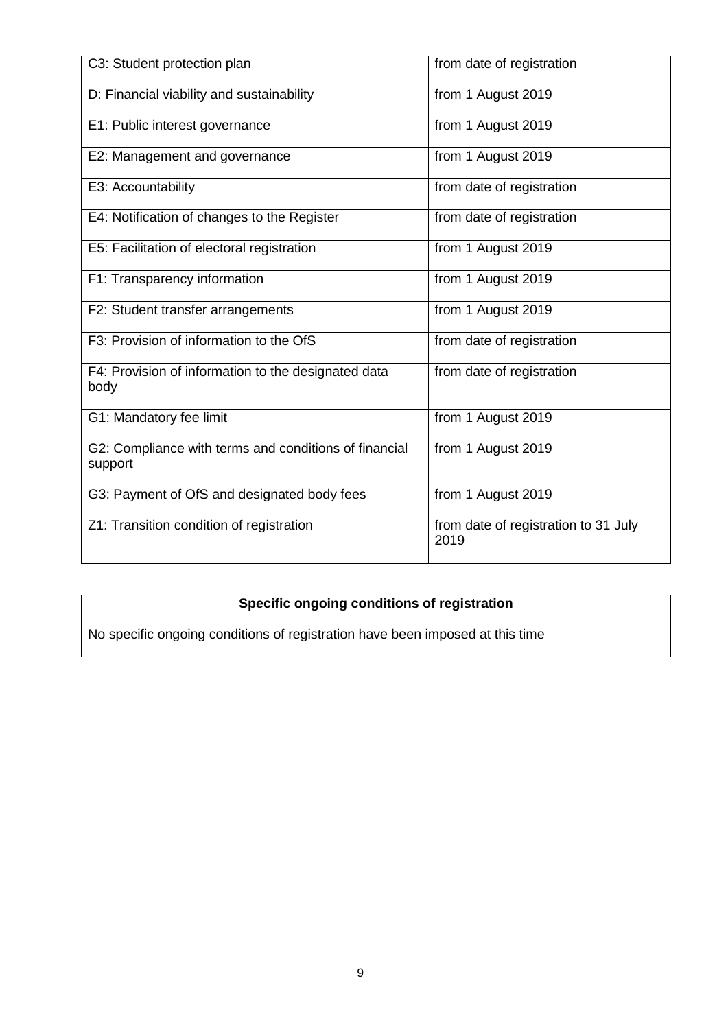| C3: Student protection plan                                      | from date of registration                    |
|------------------------------------------------------------------|----------------------------------------------|
| D: Financial viability and sustainability                        | from 1 August 2019                           |
| E1: Public interest governance                                   | from 1 August 2019                           |
| E2: Management and governance                                    | from 1 August 2019                           |
| E3: Accountability                                               | from date of registration                    |
| E4: Notification of changes to the Register                      | from date of registration                    |
| E5: Facilitation of electoral registration                       | from 1 August 2019                           |
| F1: Transparency information                                     | from 1 August 2019                           |
| F2: Student transfer arrangements                                | from 1 August 2019                           |
| F3: Provision of information to the OfS                          | from date of registration                    |
| F4: Provision of information to the designated data<br>body      | from date of registration                    |
| G1: Mandatory fee limit                                          | from 1 August 2019                           |
| G2: Compliance with terms and conditions of financial<br>support | from 1 August 2019                           |
| G3: Payment of OfS and designated body fees                      | from 1 August 2019                           |
| Z1: Transition condition of registration                         | from date of registration to 31 July<br>2019 |

# **Specific ongoing conditions of registration**

No specific ongoing conditions of registration have been imposed at this time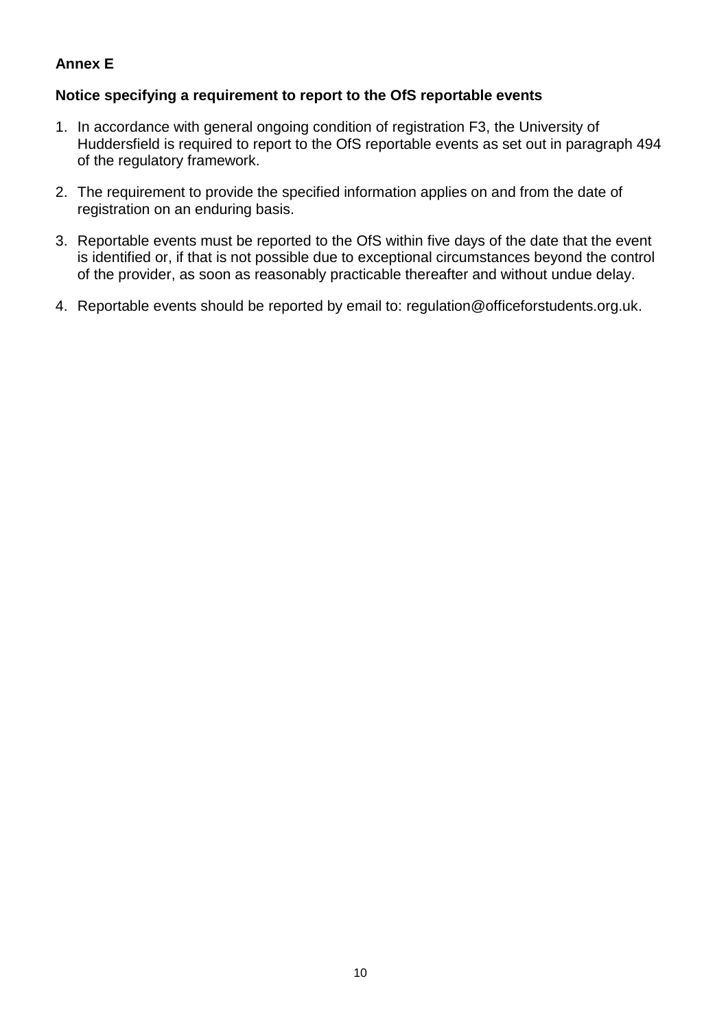## **Annex E**

#### **Notice specifying a requirement to report to the OfS reportable events**

- 1. In accordance with general ongoing condition of registration F3, the University of Huddersfield is required to report to the OfS reportable events as set out in paragraph 494 of the regulatory framework.
- 2. The requirement to provide the specified information applies on and from the date of registration on an enduring basis.
- 3. Reportable events must be reported to the OfS within five days of the date that the event is identified or, if that is not possible due to exceptional circumstances beyond the control of the provider, as soon as reasonably practicable thereafter and without undue delay.
- 4. Reportable events should be reported by email to: [regulation@officeforstudents.org.uk.](mailto:regulation@officeforstudents.org.uk)